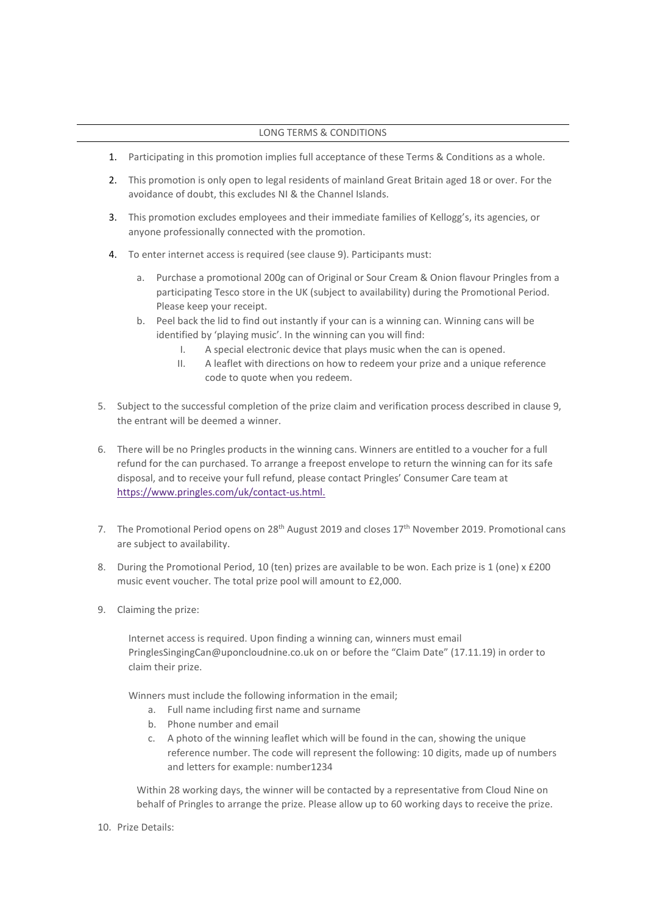## LONG TERMS & CONDITIONS

- 1. Participating in this promotion implies full acceptance of these Terms & Conditions as a whole.
- 2. This promotion is only open to legal residents of mainland Great Britain aged 18 or over. For the avoidance of doubt, this excludes NI & the Channel Islands.
- 3. This promotion excludes employees and their immediate families of Kellogg's, its agencies, or anyone professionally connected with the promotion.
- 4. To enter internet access is required (see clause 9). Participants must:
	- a. Purchase a promotional 200g can of Original or Sour Cream & Onion flavour Pringles from a participating Tesco store in the UK (subject to availability) during the Promotional Period. Please keep your receipt.
	- b. Peel back the lid to find out instantly if your can is a winning can. Winning cans will be identified by 'playing music'. In the winning can you will find:
		- I. A special electronic device that plays music when the can is opened.
		- II. A leaflet with directions on how to redeem your prize and a unique reference code to quote when you redeem.
- 5. Subject to the successful completion of the prize claim and verification process described in clause 9, the entrant will be deemed a winner.
- 6. There will be no Pringles products in the winning cans. Winners are entitled to a voucher for a full refund for the can purchased. To arrange a freepost envelope to return the winning can for its safe disposal, and to receive your full refund, please contact Pringles' Consumer Care team at [https://www.pringles.com/uk/contact-us.html.](https://www.pringles.com/uk/contact-us.html)
- 7. The Promotional Period opens on 28<sup>th</sup> August 2019 and closes  $17<sup>th</sup>$  November 2019. Promotional cans are subject to availability.
- 8. During the Promotional Period, 10 (ten) prizes are available to be won. Each prize is 1 (one) x £200 music event voucher. The total prize pool will amount to £2,000.
- 9. Claiming the prize:

Internet access is required. Upon finding a winning can, winners must email PringlesSingingCan@uponcloudnine.co.uk on or before the "Claim Date" (17.11.19) in order to claim their prize.

Winners must include the following information in the email;

- a. Full name including first name and surname
- b. Phone number and email
- c. A photo of the winning leaflet which will be found in the can, showing the unique reference number. The code will represent the following: 10 digits, made up of numbers and letters for example: number1234

Within 28 working days, the winner will be contacted by a representative from Cloud Nine on behalf of Pringles to arrange the prize. Please allow up to 60 working days to receive the prize.

10. Prize Details: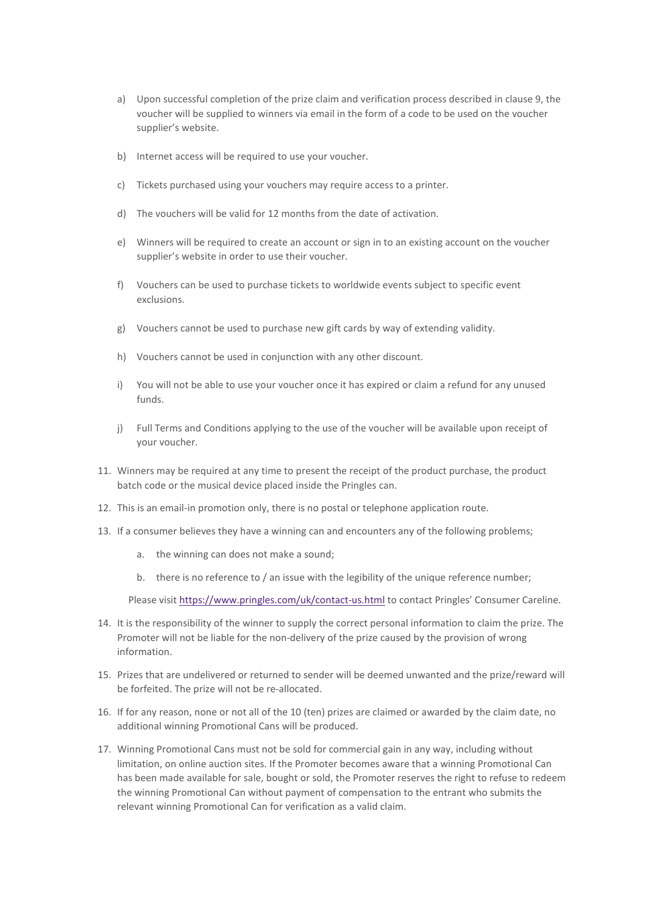- a) Upon successful completion of the prize claim and verification process described in clause 9, the voucher will be supplied to winners via email in the form of a code to be used on the voucher supplier's website.
- b) Internet access will be required to use your voucher.
- c) Tickets purchased using your vouchers may require access to a printer.
- d) The vouchers will be valid for 12 months from the date of activation.
- e) Winners will be required to create an account or sign in to an existing account on the voucher supplier's website in order to use their voucher.
- f) Vouchers can be used to purchase tickets to worldwide events subject to specific event exclusions.
- g) Vouchers cannot be used to purchase new gift cards by way of extending validity.
- h) Vouchers cannot be used in conjunction with any other discount.
- i) You will not be able to use your voucher once it has expired or claim a refund for any unused funds.
- j) Full Terms and Conditions applying to the use of the voucher will be available upon receipt of your voucher.
- 11. Winners may be required at any time to present the receipt of the product purchase, the product batch code or the musical device placed inside the Pringles can.
- 12. This is an email-in promotion only, there is no postal or telephone application route.
- 13. If a consumer believes they have a winning can and encounters any of the following problems;
	- a. the winning can does not make a sound;
	- b. there is no reference to / an issue with the legibility of the unique reference number;

Please visit<https://www.pringles.com/uk/contact-us.html> to contact Pringles' Consumer Careline.

- 14. It is the responsibility of the winner to supply the correct personal information to claim the prize. The Promoter will not be liable for the non-delivery of the prize caused by the provision of wrong information.
- 15. Prizes that are undelivered or returned to sender will be deemed unwanted and the prize/reward will be forfeited. The prize will not be re-allocated.
- 16. If for any reason, none or not all of the 10 (ten) prizes are claimed or awarded by the claim date, no additional winning Promotional Cans will be produced.
- 17. Winning Promotional Cans must not be sold for commercial gain in any way, including without limitation, on online auction sites. If the Promoter becomes aware that a winning Promotional Can has been made available for sale, bought or sold, the Promoter reserves the right to refuse to redeem the winning Promotional Can without payment of compensation to the entrant who submits the relevant winning Promotional Can for verification as a valid claim.